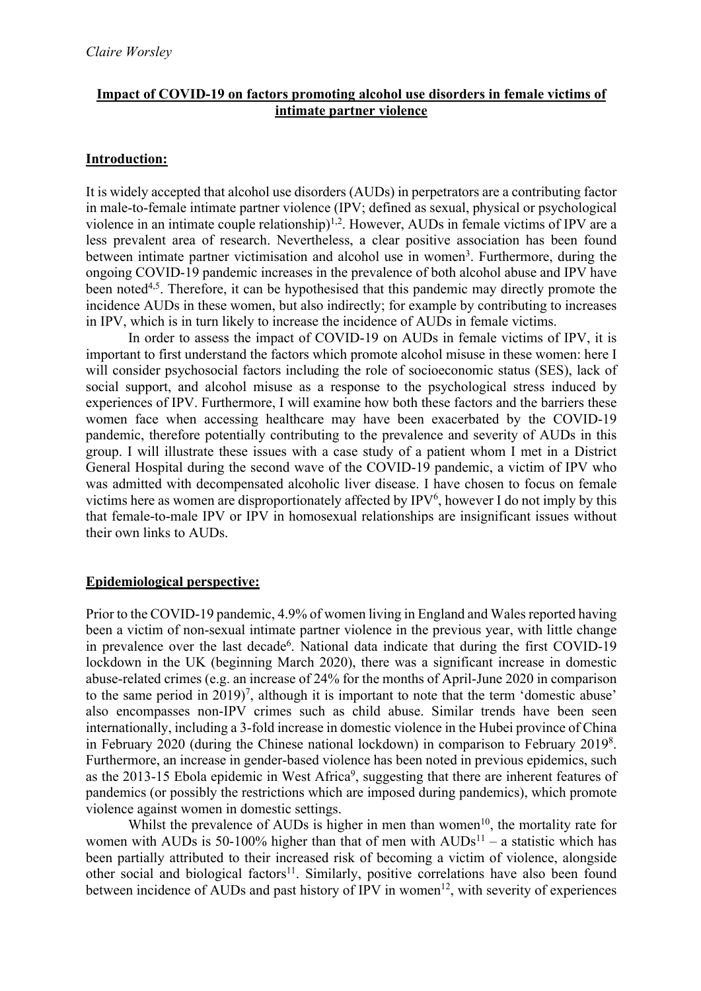### **Impact of COVID-19 on factors promoting alcohol use disorders in female victims of intimate partner violence**

#### **Introduction:**

It is widely accepted that alcohol use disorders (AUDs) in perpetrators are a contributing factor in male-to-female intimate partner violence (IPV; defined as sexual, physical or psychological violence in an intimate couple relationship)<sup>1,2</sup>. However, AUDs in female victims of IPV are a less prevalent area of research. Nevertheless, a clear positive association has been found between intimate partner victimisation and alcohol use in women<sup>3</sup>. Furthermore, during the ongoing COVID-19 pandemic increases in the prevalence of both alcohol abuse and IPV have been noted<sup>4,5</sup>. Therefore, it can be hypothesised that this pandemic may directly promote the incidence AUDs in these women, but also indirectly; for example by contributing to increases in IPV, which is in turn likely to increase the incidence of AUDs in female victims.

In order to assess the impact of COVID-19 on AUDs in female victims of IPV, it is important to first understand the factors which promote alcohol misuse in these women: here I will consider psychosocial factors including the role of socioeconomic status (SES), lack of social support, and alcohol misuse as a response to the psychological stress induced by experiences of IPV. Furthermore, I will examine how both these factors and the barriers these women face when accessing healthcare may have been exacerbated by the COVID-19 pandemic, therefore potentially contributing to the prevalence and severity of AUDs in this group. I will illustrate these issues with a case study of a patient whom I met in a District General Hospital during the second wave of the COVID-19 pandemic, a victim of IPV who was admitted with decompensated alcoholic liver disease. I have chosen to focus on female victims here as women are disproportionately affected by  $IPV<sup>6</sup>$ , however I do not imply by this that female-to-male IPV or IPV in homosexual relationships are insignificant issues without their own links to AUDs.

## **Epidemiological perspective:**

Prior to the COVID-19 pandemic, 4.9% of women living in England and Wales reported having been a victim of non-sexual intimate partner violence in the previous year, with little change in prevalence over the last decade<sup>6</sup>. National data indicate that during the first COVID-19 lockdown in the UK (beginning March 2020), there was a significant increase in domestic abuse-related crimes (e.g. an increase of 24% for the months of April-June 2020 in comparison to the same period in  $2019$ <sup>7</sup>, although it is important to note that the term 'domestic abuse' also encompasses non-IPV crimes such as child abuse. Similar trends have been seen internationally, including a 3-fold increase in domestic violence in the Hubei province of China in February 2020 (during the Chinese national lockdown) in comparison to February 20198 . Furthermore, an increase in gender-based violence has been noted in previous epidemics, such as the 2013-15 Ebola epidemic in West Africa<sup>9</sup>, suggesting that there are inherent features of pandemics (or possibly the restrictions which are imposed during pandemics), which promote violence against women in domestic settings.

Whilst the prevalence of AUDs is higher in men than women<sup>10</sup>, the mortality rate for women with AUDs is 50-100% higher than that of men with  $\text{AUDs}^{11}$  – a statistic which has been partially attributed to their increased risk of becoming a victim of violence, alongside other social and biological factors<sup>11</sup>. Similarly, positive correlations have also been found between incidence of AUDs and past history of IPV in women<sup>12</sup>, with severity of experiences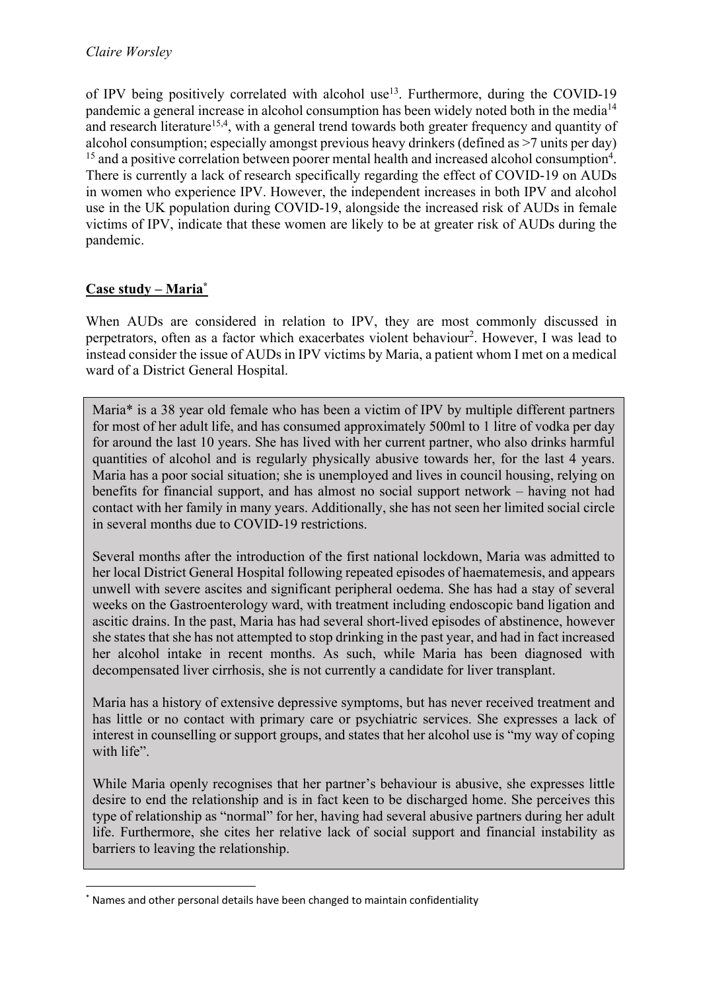of IPV being positively correlated with alcohol use<sup>13</sup>. Furthermore, during the COVID-19 pandemic a general increase in alcohol consumption has been widely noted both in the media<sup>14</sup> and research literature<sup>15,4</sup>, with a general trend towards both greater frequency and quantity of alcohol consumption; especially amongst previous heavy drinkers (defined as >7 units per day)  $15$  and a positive correlation between poorer mental health and increased alcohol consumption<sup>4</sup>. There is currently a lack of research specifically regarding the effect of COVID-19 on AUDs in women who experience IPV. However, the independent increases in both IPV and alcohol use in the UK population during COVID-19, alongside the increased risk of AUDs in female victims of IPV, indicate that these women are likely to be at greater risk of AUDs during the pandemic.

# **Case study – Maria\***

When AUDs are considered in relation to IPV, they are most commonly discussed in perpetrators, often as a factor which exacerbates violent behaviour<sup>2</sup>. However, I was lead to instead consider the issue of AUDs in IPV victims by Maria, a patient whom I met on a medical ward of a District General Hospital.

Maria\* is a 38 year old female who has been a victim of IPV by multiple different partners for most of her adult life, and has consumed approximately 500ml to 1 litre of vodka per day for around the last 10 years. She has lived with her current partner, who also drinks harmful quantities of alcohol and is regularly physically abusive towards her, for the last 4 years. Maria has a poor social situation; she is unemployed and lives in council housing, relying on benefits for financial support, and has almost no social support network – having not had contact with her family in many years. Additionally, she has not seen her limited social circle in several months due to COVID-19 restrictions.

Several months after the introduction of the first national lockdown, Maria was admitted to her local District General Hospital following repeated episodes of haematemesis, and appears unwell with severe ascites and significant peripheral oedema. She has had a stay of several weeks on the Gastroenterology ward, with treatment including endoscopic band ligation and ascitic drains. In the past, Maria has had several short-lived episodes of abstinence, however she states that she has not attempted to stop drinking in the past year, and had in fact increased her alcohol intake in recent months. As such, while Maria has been diagnosed with decompensated liver cirrhosis, she is not currently a candidate for liver transplant.

Maria has a history of extensive depressive symptoms, but has never received treatment and has little or no contact with primary care or psychiatric services. She expresses a lack of interest in counselling or support groups, and states that her alcohol use is "my way of coping with life".

While Maria openly recognises that her partner's behaviour is abusive, she expresses little desire to end the relationship and is in fact keen to be discharged home. She perceives this type of relationship as "normal" for her, having had several abusive partners during her adult life. Furthermore, she cites her relative lack of social support and financial instability as barriers to leaving the relationship.

<sup>\*</sup> Names and other personal details have been changed to maintain confidentiality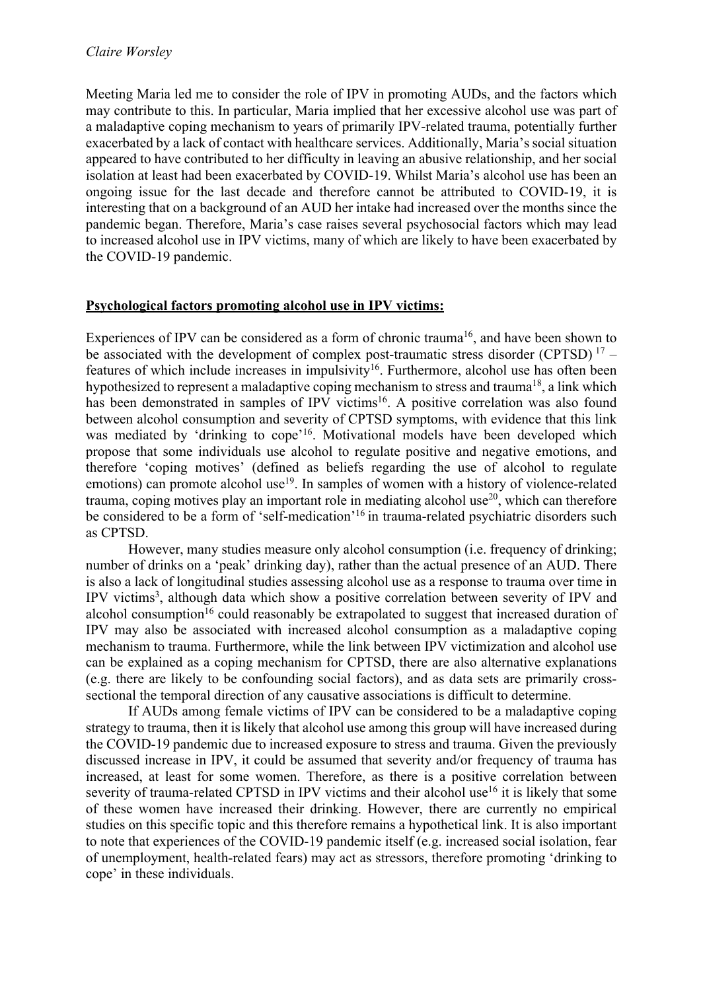Meeting Maria led me to consider the role of IPV in promoting AUDs, and the factors which may contribute to this. In particular, Maria implied that her excessive alcohol use was part of a maladaptive coping mechanism to years of primarily IPV-related trauma, potentially further exacerbated by a lack of contact with healthcare services. Additionally, Maria's social situation appeared to have contributed to her difficulty in leaving an abusive relationship, and her social isolation at least had been exacerbated by COVID-19. Whilst Maria's alcohol use has been an ongoing issue for the last decade and therefore cannot be attributed to COVID-19, it is interesting that on a background of an AUD her intake had increased over the months since the pandemic began. Therefore, Maria's case raises several psychosocial factors which may lead to increased alcohol use in IPV victims, many of which are likely to have been exacerbated by the COVID-19 pandemic.

### **Psychological factors promoting alcohol use in IPV victims:**

Experiences of IPV can be considered as a form of chronic trauma<sup>16</sup>, and have been shown to be associated with the development of complex post-traumatic stress disorder (CPTSD)  $17$ features of which include increases in impulsivity<sup>16</sup>. Furthermore, alcohol use has often been hypothesized to represent a maladaptive coping mechanism to stress and trauma<sup>18</sup>, a link which has been demonstrated in samples of IPV victims<sup>16</sup>. A positive correlation was also found between alcohol consumption and severity of CPTSD symptoms, with evidence that this link was mediated by 'drinking to cope'<sup>16</sup>. Motivational models have been developed which propose that some individuals use alcohol to regulate positive and negative emotions, and therefore 'coping motives' (defined as beliefs regarding the use of alcohol to regulate emotions) can promote alcohol use<sup>19</sup>. In samples of women with a history of violence-related trauma, coping motives play an important role in mediating alcohol use<sup>20</sup>, which can therefore be considered to be a form of 'self-medication'<sup>16</sup> in trauma-related psychiatric disorders such as CPTSD.

However, many studies measure only alcohol consumption (i.e. frequency of drinking; number of drinks on a 'peak' drinking day), rather than the actual presence of an AUD. There is also a lack of longitudinal studies assessing alcohol use as a response to trauma over time in IPV victims<sup>3</sup>, although data which show a positive correlation between severity of IPV and alcohol consumption<sup>16</sup> could reasonably be extrapolated to suggest that increased duration of IPV may also be associated with increased alcohol consumption as a maladaptive coping mechanism to trauma. Furthermore, while the link between IPV victimization and alcohol use can be explained as a coping mechanism for CPTSD, there are also alternative explanations (e.g. there are likely to be confounding social factors), and as data sets are primarily crosssectional the temporal direction of any causative associations is difficult to determine.

If AUDs among female victims of IPV can be considered to be a maladaptive coping strategy to trauma, then it is likely that alcohol use among this group will have increased during the COVID-19 pandemic due to increased exposure to stress and trauma. Given the previously discussed increase in IPV, it could be assumed that severity and/or frequency of trauma has increased, at least for some women. Therefore, as there is a positive correlation between severity of trauma-related CPTSD in IPV victims and their alcohol use<sup>16</sup> it is likely that some of these women have increased their drinking. However, there are currently no empirical studies on this specific topic and this therefore remains a hypothetical link. It is also important to note that experiences of the COVID-19 pandemic itself (e.g. increased social isolation, fear of unemployment, health-related fears) may act as stressors, therefore promoting 'drinking to cope' in these individuals.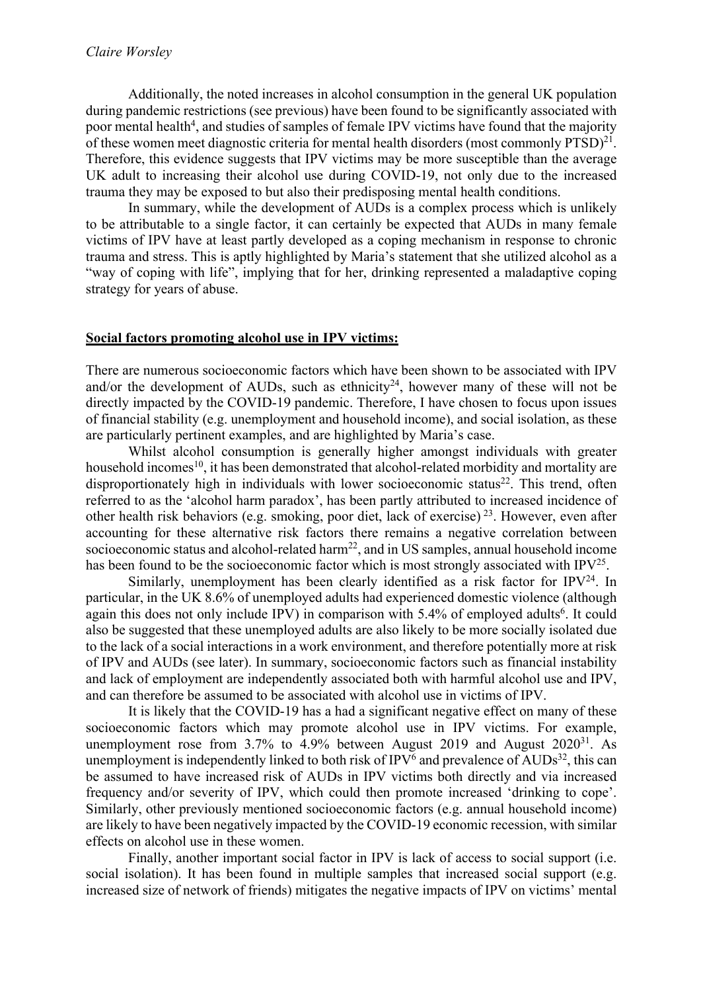Additionally, the noted increases in alcohol consumption in the general UK population during pandemic restrictions (see previous) have been found to be significantly associated with poor mental health<sup>4</sup>, and studies of samples of female IPV victims have found that the majority of these women meet diagnostic criteria for mental health disorders (most commonly PTSD)<sup>21</sup>. Therefore, this evidence suggests that IPV victims may be more susceptible than the average UK adult to increasing their alcohol use during COVID-19, not only due to the increased trauma they may be exposed to but also their predisposing mental health conditions.

In summary, while the development of AUDs is a complex process which is unlikely to be attributable to a single factor, it can certainly be expected that AUDs in many female victims of IPV have at least partly developed as a coping mechanism in response to chronic trauma and stress. This is aptly highlighted by Maria's statement that she utilized alcohol as a "way of coping with life", implying that for her, drinking represented a maladaptive coping strategy for years of abuse.

#### **Social factors promoting alcohol use in IPV victims:**

There are numerous socioeconomic factors which have been shown to be associated with IPV and/or the development of AUDs, such as ethnicity<sup>24</sup>, however many of these will not be directly impacted by the COVID-19 pandemic. Therefore, I have chosen to focus upon issues of financial stability (e.g. unemployment and household income), and social isolation, as these are particularly pertinent examples, and are highlighted by Maria's case.

Whilst alcohol consumption is generally higher amongst individuals with greater household incomes<sup>10</sup>, it has been demonstrated that alcohol-related morbidity and mortality are disproportionately high in individuals with lower socioeconomic status<sup>22</sup>. This trend, often referred to as the 'alcohol harm paradox', has been partly attributed to increased incidence of other health risk behaviors (e.g. smoking, poor diet, lack of exercise) 23. However, even after accounting for these alternative risk factors there remains a negative correlation between socioeconomic status and alcohol-related harm<sup>22</sup>, and in US samples, annual household income has been found to be the socioeconomic factor which is most strongly associated with IPV<sup>25</sup>.

Similarly, unemployment has been clearly identified as a risk factor for  $IPV<sup>24</sup>$ . In particular, in the UK 8.6% of unemployed adults had experienced domestic violence (although again this does not only include IPV) in comparison with 5.4% of employed adults<sup>6</sup>. It could also be suggested that these unemployed adults are also likely to be more socially isolated due to the lack of a social interactions in a work environment, and therefore potentially more at risk of IPV and AUDs (see later). In summary, socioeconomic factors such as financial instability and lack of employment are independently associated both with harmful alcohol use and IPV, and can therefore be assumed to be associated with alcohol use in victims of IPV.

It is likely that the COVID-19 has a had a significant negative effect on many of these socioeconomic factors which may promote alcohol use in IPV victims. For example, unemployment rose from  $3.7\%$  to  $4.9\%$  between August 2019 and August 2020<sup>31</sup>. As unemployment is independently linked to both risk of  $IPV^6$  and prevalence of  $AUDs^{32}$ , this can be assumed to have increased risk of AUDs in IPV victims both directly and via increased frequency and/or severity of IPV, which could then promote increased 'drinking to cope'. Similarly, other previously mentioned socioeconomic factors (e.g. annual household income) are likely to have been negatively impacted by the COVID-19 economic recession, with similar effects on alcohol use in these women.

Finally, another important social factor in IPV is lack of access to social support (i.e. social isolation). It has been found in multiple samples that increased social support (e.g. increased size of network of friends) mitigates the negative impacts of IPV on victims' mental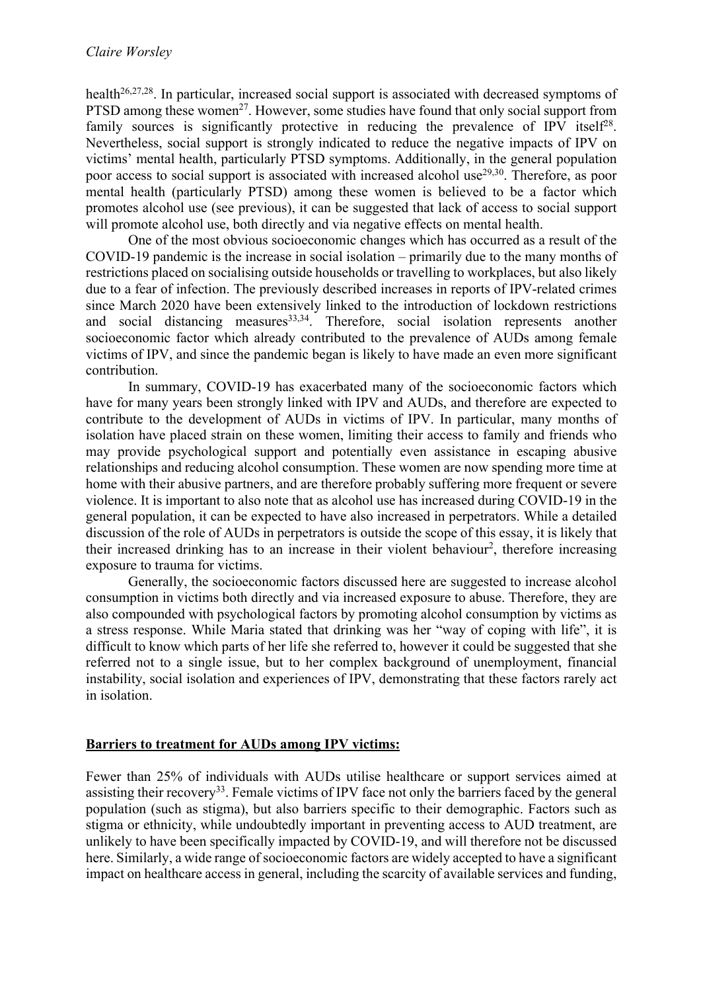health<sup>26,27,28</sup>. In particular, increased social support is associated with decreased symptoms of PTSD among these women<sup>27</sup>. However, some studies have found that only social support from family sources is significantly protective in reducing the prevalence of IPV itself<sup>28</sup>. Nevertheless, social support is strongly indicated to reduce the negative impacts of IPV on victims' mental health, particularly PTSD symptoms. Additionally, in the general population poor access to social support is associated with increased alcohol use<sup>29,30</sup>. Therefore, as poor mental health (particularly PTSD) among these women is believed to be a factor which promotes alcohol use (see previous), it can be suggested that lack of access to social support will promote alcohol use, both directly and via negative effects on mental health.

One of the most obvious socioeconomic changes which has occurred as a result of the COVID-19 pandemic is the increase in social isolation – primarily due to the many months of restrictions placed on socialising outside households or travelling to workplaces, but also likely due to a fear of infection. The previously described increases in reports of IPV-related crimes since March 2020 have been extensively linked to the introduction of lockdown restrictions and social distancing measures<sup>33,34</sup>. Therefore, social isolation represents another socioeconomic factor which already contributed to the prevalence of AUDs among female victims of IPV, and since the pandemic began is likely to have made an even more significant contribution.

In summary, COVID-19 has exacerbated many of the socioeconomic factors which have for many years been strongly linked with IPV and AUDs, and therefore are expected to contribute to the development of AUDs in victims of IPV. In particular, many months of isolation have placed strain on these women, limiting their access to family and friends who may provide psychological support and potentially even assistance in escaping abusive relationships and reducing alcohol consumption. These women are now spending more time at home with their abusive partners, and are therefore probably suffering more frequent or severe violence. It is important to also note that as alcohol use has increased during COVID-19 in the general population, it can be expected to have also increased in perpetrators. While a detailed discussion of the role of AUDs in perpetrators is outside the scope of this essay, it is likely that their increased drinking has to an increase in their violent behaviour<sup>2</sup>, therefore increasing exposure to trauma for victims.

Generally, the socioeconomic factors discussed here are suggested to increase alcohol consumption in victims both directly and via increased exposure to abuse. Therefore, they are also compounded with psychological factors by promoting alcohol consumption by victims as a stress response. While Maria stated that drinking was her "way of coping with life", it is difficult to know which parts of her life she referred to, however it could be suggested that she referred not to a single issue, but to her complex background of unemployment, financial instability, social isolation and experiences of IPV, demonstrating that these factors rarely act in isolation.

## **Barriers to treatment for AUDs among IPV victims:**

Fewer than 25% of individuals with AUDs utilise healthcare or support services aimed at assisting their recovery<sup>33</sup>. Female victims of IPV face not only the barriers faced by the general population (such as stigma), but also barriers specific to their demographic. Factors such as stigma or ethnicity, while undoubtedly important in preventing access to AUD treatment, are unlikely to have been specifically impacted by COVID-19, and will therefore not be discussed here. Similarly, a wide range of socioeconomic factors are widely accepted to have a significant impact on healthcare access in general, including the scarcity of available services and funding,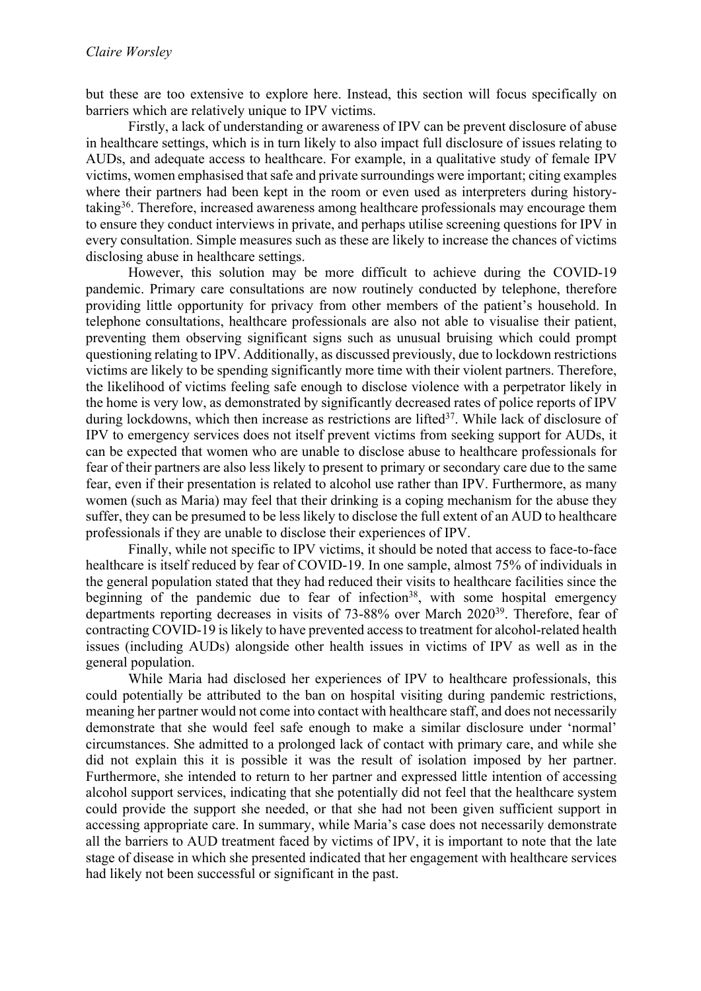but these are too extensive to explore here. Instead, this section will focus specifically on barriers which are relatively unique to IPV victims.

Firstly, a lack of understanding or awareness of IPV can be prevent disclosure of abuse in healthcare settings, which is in turn likely to also impact full disclosure of issues relating to AUDs, and adequate access to healthcare. For example, in a qualitative study of female IPV victims, women emphasised that safe and private surroundings were important; citing examples where their partners had been kept in the room or even used as interpreters during historytaking36. Therefore, increased awareness among healthcare professionals may encourage them to ensure they conduct interviews in private, and perhaps utilise screening questions for IPV in every consultation. Simple measures such as these are likely to increase the chances of victims disclosing abuse in healthcare settings.

However, this solution may be more difficult to achieve during the COVID-19 pandemic. Primary care consultations are now routinely conducted by telephone, therefore providing little opportunity for privacy from other members of the patient's household. In telephone consultations, healthcare professionals are also not able to visualise their patient, preventing them observing significant signs such as unusual bruising which could prompt questioning relating to IPV. Additionally, as discussed previously, due to lockdown restrictions victims are likely to be spending significantly more time with their violent partners. Therefore, the likelihood of victims feeling safe enough to disclose violence with a perpetrator likely in the home is very low, as demonstrated by significantly decreased rates of police reports of IPV during lockdowns, which then increase as restrictions are lifted<sup>37</sup>. While lack of disclosure of IPV to emergency services does not itself prevent victims from seeking support for AUDs, it can be expected that women who are unable to disclose abuse to healthcare professionals for fear of their partners are also less likely to present to primary or secondary care due to the same fear, even if their presentation is related to alcohol use rather than IPV. Furthermore, as many women (such as Maria) may feel that their drinking is a coping mechanism for the abuse they suffer, they can be presumed to be less likely to disclose the full extent of an AUD to healthcare professionals if they are unable to disclose their experiences of IPV.

Finally, while not specific to IPV victims, it should be noted that access to face-to-face healthcare is itself reduced by fear of COVID-19. In one sample, almost 75% of individuals in the general population stated that they had reduced their visits to healthcare facilities since the beginning of the pandemic due to fear of infection<sup>38</sup>, with some hospital emergency departments reporting decreases in visits of 73-88% over March 202039. Therefore, fear of contracting COVID-19 is likely to have prevented access to treatment for alcohol-related health issues (including AUDs) alongside other health issues in victims of IPV as well as in the general population.

While Maria had disclosed her experiences of IPV to healthcare professionals, this could potentially be attributed to the ban on hospital visiting during pandemic restrictions, meaning her partner would not come into contact with healthcare staff, and does not necessarily demonstrate that she would feel safe enough to make a similar disclosure under 'normal' circumstances. She admitted to a prolonged lack of contact with primary care, and while she did not explain this it is possible it was the result of isolation imposed by her partner. Furthermore, she intended to return to her partner and expressed little intention of accessing alcohol support services, indicating that she potentially did not feel that the healthcare system could provide the support she needed, or that she had not been given sufficient support in accessing appropriate care. In summary, while Maria's case does not necessarily demonstrate all the barriers to AUD treatment faced by victims of IPV, it is important to note that the late stage of disease in which she presented indicated that her engagement with healthcare services had likely not been successful or significant in the past.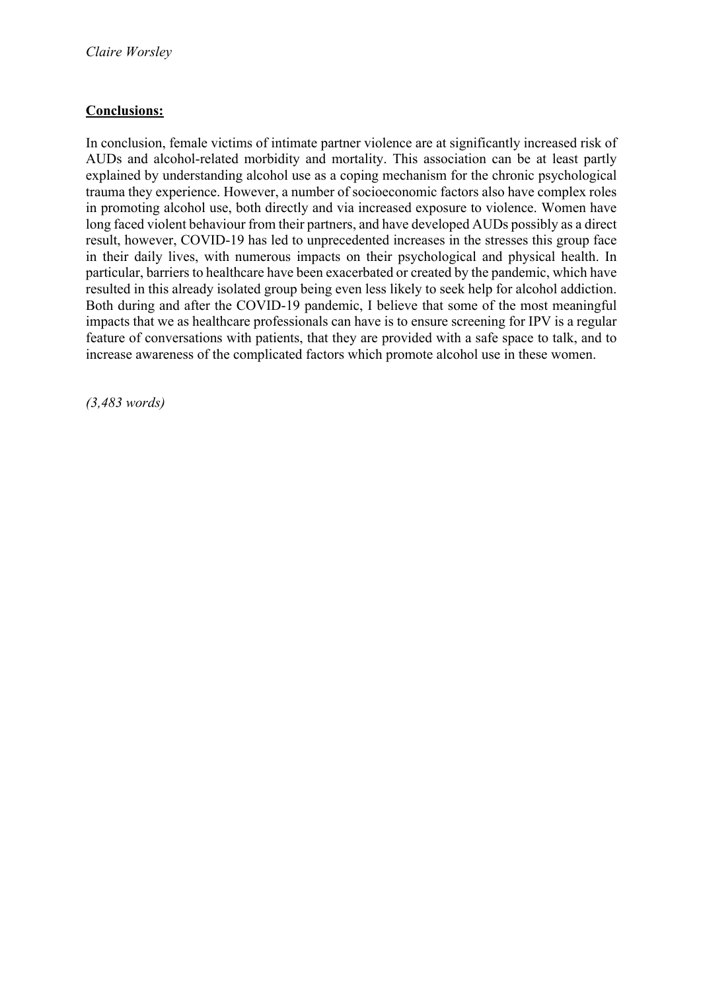# **Conclusions:**

In conclusion, female victims of intimate partner violence are at significantly increased risk of AUDs and alcohol-related morbidity and mortality. This association can be at least partly explained by understanding alcohol use as a coping mechanism for the chronic psychological trauma they experience. However, a number of socioeconomic factors also have complex roles in promoting alcohol use, both directly and via increased exposure to violence. Women have long faced violent behaviour from their partners, and have developed AUDs possibly as a direct result, however, COVID-19 has led to unprecedented increases in the stresses this group face in their daily lives, with numerous impacts on their psychological and physical health. In particular, barriers to healthcare have been exacerbated or created by the pandemic, which have resulted in this already isolated group being even less likely to seek help for alcohol addiction. Both during and after the COVID-19 pandemic, I believe that some of the most meaningful impacts that we as healthcare professionals can have is to ensure screening for IPV is a regular feature of conversations with patients, that they are provided with a safe space to talk, and to increase awareness of the complicated factors which promote alcohol use in these women.

*(3,483 words)*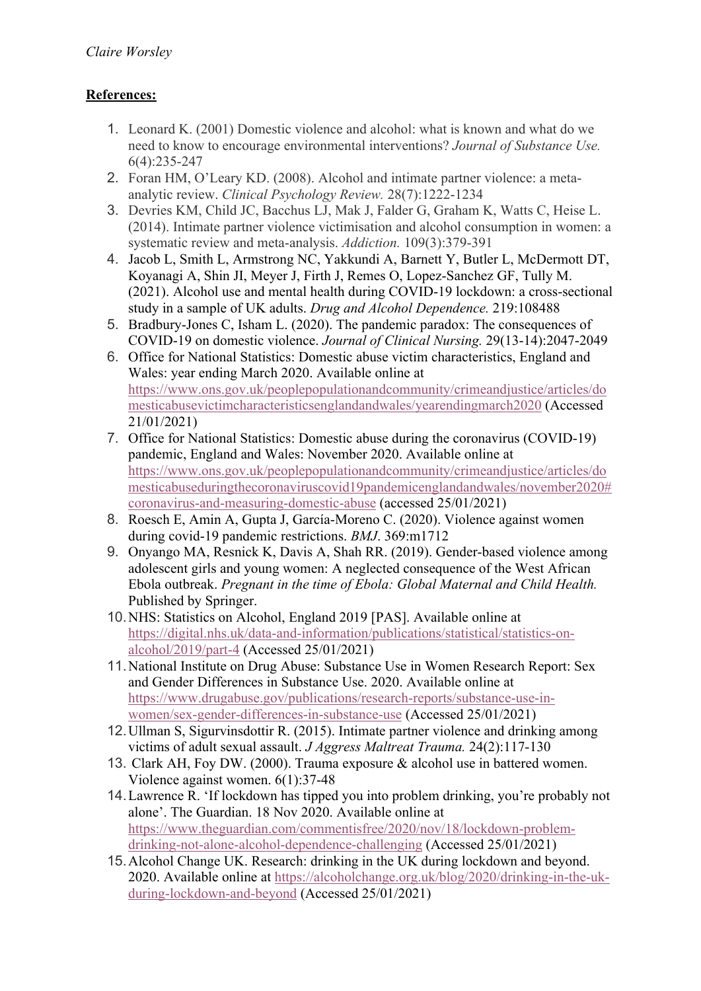# **References:**

- 1. Leonard K. (2001) Domestic violence and alcohol: what is known and what do we need to know to encourage environmental interventions? *Journal of Substance Use.* 6(4):235-247
- 2. Foran HM, O'Leary KD. (2008). Alcohol and intimate partner violence: a metaanalytic review. *Clinical Psychology Review.* 28(7):1222-1234
- 3. Devries KM, Child JC, Bacchus LJ, Mak J, Falder G, Graham K, Watts C, Heise L. (2014). Intimate partner violence victimisation and alcohol consumption in women: a systematic review and meta-analysis. *Addiction.* 109(3):379-391
- 4. Jacob L, Smith L, Armstrong NC, Yakkundi A, Barnett Y, Butler L, McDermott DT, Koyanagi A, Shin JI, Meyer J, Firth J, Remes O, Lopez-Sanchez GF, Tully M. (2021). Alcohol use and mental health during COVID-19 lockdown: a cross-sectional study in a sample of UK adults. *Drug and Alcohol Dependence.* 219:108488
- 5. Bradbury-Jones C, Isham L. (2020). The pandemic paradox: The consequences of COVID-19 on domestic violence. *Journal of Clinical Nursing.* 29(13-14):2047-2049
- 6. Office for National Statistics: Domestic abuse victim characteristics, England and Wales: year ending March 2020. Available online at https://www.ons.gov.uk/peoplepopulationandcommunity/crimeandjustice/articles/do mesticabusevictimcharacteristicsenglandandwales/yearendingmarch2020 (Accessed 21/01/2021)
- 7. Office for National Statistics: Domestic abuse during the coronavirus (COVID-19) pandemic, England and Wales: November 2020. Available online at https://www.ons.gov.uk/peoplepopulationandcommunity/crimeandjustice/articles/do mesticabuseduringthecoronaviruscovid19pandemicenglandandwales/november2020# coronavirus-and-measuring-domestic-abuse (accessed 25/01/2021)
- 8. Roesch E, Amin A, Gupta J, García-Moreno C. (2020). Violence against women during covid-19 pandemic restrictions. *BMJ*. 369:m1712
- 9. Onyango MA, Resnick K, Davis A, Shah RR. (2019). Gender-based violence among adolescent girls and young women: A neglected consequence of the West African Ebola outbreak. *Pregnant in the time of Ebola: Global Maternal and Child Health.* Published by Springer.
- 10.NHS: Statistics on Alcohol, England 2019 [PAS]. Available online at https://digital.nhs.uk/data-and-information/publications/statistical/statistics-onalcohol/2019/part-4 (Accessed 25/01/2021)
- 11.National Institute on Drug Abuse: Substance Use in Women Research Report: Sex and Gender Differences in Substance Use. 2020. Available online at https://www.drugabuse.gov/publications/research-reports/substance-use-inwomen/sex-gender-differences-in-substance-use (Accessed 25/01/2021)
- 12.Ullman S, Sigurvinsdottir R. (2015). Intimate partner violence and drinking among victims of adult sexual assault. *J Aggress Maltreat Trauma.* 24(2):117-130
- 13. Clark AH, Foy DW. (2000). Trauma exposure & alcohol use in battered women. Violence against women. 6(1):37-48
- 14.Lawrence R. 'If lockdown has tipped you into problem drinking, you're probably not alone'. The Guardian. 18 Nov 2020. Available online at https://www.theguardian.com/commentisfree/2020/nov/18/lockdown-problemdrinking-not-alone-alcohol-dependence-challenging (Accessed 25/01/2021)
- 15.Alcohol Change UK. Research: drinking in the UK during lockdown and beyond. 2020. Available online at https://alcoholchange.org.uk/blog/2020/drinking-in-the-ukduring-lockdown-and-beyond (Accessed 25/01/2021)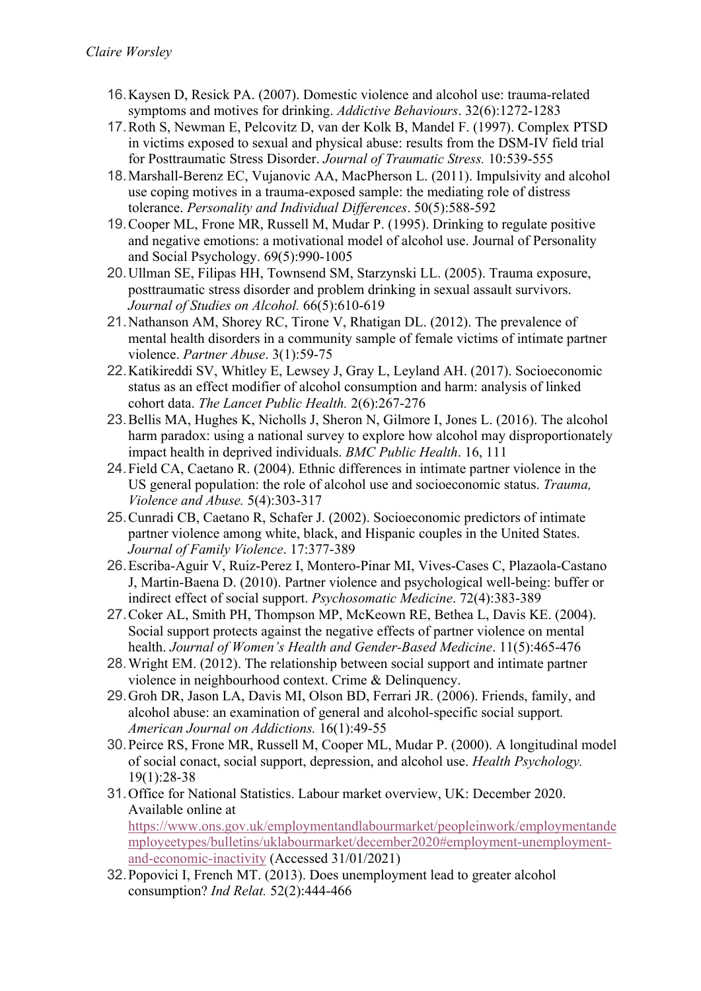- 16.Kaysen D, Resick PA. (2007). Domestic violence and alcohol use: trauma-related symptoms and motives for drinking. *Addictive Behaviours*. 32(6):1272-1283
- 17.Roth S, Newman E, Pelcovitz D, van der Kolk B, Mandel F. (1997). Complex PTSD in victims exposed to sexual and physical abuse: results from the DSM-IV field trial for Posttraumatic Stress Disorder. *Journal of Traumatic Stress.* 10:539-555
- 18.Marshall-Berenz EC, Vujanovic AA, MacPherson L. (2011). Impulsivity and alcohol use coping motives in a trauma-exposed sample: the mediating role of distress tolerance. *Personality and Individual Differences*. 50(5):588-592
- 19.Cooper ML, Frone MR, Russell M, Mudar P. (1995). Drinking to regulate positive and negative emotions: a motivational model of alcohol use. Journal of Personality and Social Psychology. 69(5):990-1005
- 20.Ullman SE, Filipas HH, Townsend SM, Starzynski LL. (2005). Trauma exposure, posttraumatic stress disorder and problem drinking in sexual assault survivors. *Journal of Studies on Alcohol.* 66(5):610-619
- 21.Nathanson AM, Shorey RC, Tirone V, Rhatigan DL. (2012). The prevalence of mental health disorders in a community sample of female victims of intimate partner violence. *Partner Abuse*. 3(1):59-75
- 22.Katikireddi SV, Whitley E, Lewsey J, Gray L, Leyland AH. (2017). Socioeconomic status as an effect modifier of alcohol consumption and harm: analysis of linked cohort data. *The Lancet Public Health.* 2(6):267-276
- 23.Bellis MA, Hughes K, Nicholls J, Sheron N, Gilmore I, Jones L. (2016). The alcohol harm paradox: using a national survey to explore how alcohol may disproportionately impact health in deprived individuals. *BMC Public Health*. 16, 111
- 24.Field CA, Caetano R. (2004). Ethnic differences in intimate partner violence in the US general population: the role of alcohol use and socioeconomic status. *Trauma, Violence and Abuse.* 5(4):303-317
- 25.Cunradi CB, Caetano R, Schafer J. (2002). Socioeconomic predictors of intimate partner violence among white, black, and Hispanic couples in the United States. *Journal of Family Violence*. 17:377-389
- 26.Escriba-Aguir V, Ruiz-Perez I, Montero-Pinar MI, Vives-Cases C, Plazaola-Castano J, Martin-Baena D. (2010). Partner violence and psychological well-being: buffer or indirect effect of social support. *Psychosomatic Medicine*. 72(4):383-389
- 27.Coker AL, Smith PH, Thompson MP, McKeown RE, Bethea L, Davis KE. (2004). Social support protects against the negative effects of partner violence on mental health. *Journal of Women's Health and Gender-Based Medicine*. 11(5):465-476
- 28.Wright EM. (2012). The relationship between social support and intimate partner violence in neighbourhood context. Crime & Delinquency.
- 29.Groh DR, Jason LA, Davis MI, Olson BD, Ferrari JR. (2006). Friends, family, and alcohol abuse: an examination of general and alcohol-specific social support*. American Journal on Addictions.* 16(1):49-55
- 30.Peirce RS, Frone MR, Russell M, Cooper ML, Mudar P. (2000). A longitudinal model of social conact, social support, depression, and alcohol use. *Health Psychology.* 19(1):28-38
- 31.Office for National Statistics. Labour market overview, UK: December 2020. Available online at https://www.ons.gov.uk/employmentandlabourmarket/peopleinwork/employmentande mployeetypes/bulletins/uklabourmarket/december2020#employment-unemploymentand-economic-inactivity (Accessed 31/01/2021)
- 32.Popovici I, French MT. (2013). Does unemployment lead to greater alcohol consumption? *Ind Relat.* 52(2):444-466